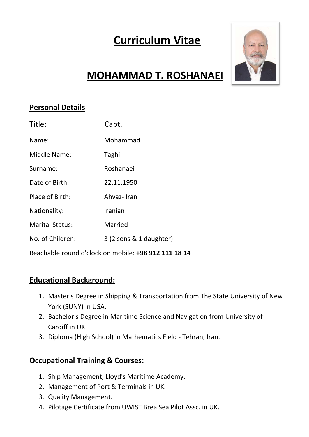# **Curriculum Vitae**



## **MOHAMMAD T. ROSHANAEI**

### **Personal Details**

| Title:                                               | Capt.                   |
|------------------------------------------------------|-------------------------|
| Name:                                                | Mohammad                |
| Middle Name:                                         | Taghi                   |
| Surname:                                             | Roshanaei               |
| Date of Birth:                                       | 22.11.1950              |
| Place of Birth:                                      | Ahvaz-Iran              |
| Nationality:                                         | Iranian                 |
| <b>Marital Status:</b>                               | Married                 |
| No. of Children:                                     | 3 (2 sons & 1 daughter) |
| Reachable round o'clock on mobile: +98 912 111 18 14 |                         |

#### **Educational Background:**

- 1. Master's Degree in Shipping & Transportation from The State University of New York (SUNY) in USA.
- 2. Bachelor's Degree in Maritime Science and Navigation from University of Cardiff in UK.
- 3. Diploma (High School) in Mathematics Field ‐ Tehran, Iran.

#### **Occupational Training & Courses:**

- 1. Ship Management, Lloyd's Maritime Academy.
- 2. Management of Port & Terminals in UK.
- 3. Quality Management.
- 4. Pilotage Certificate from UWIST Brea Sea Pilot Assc. in UK.